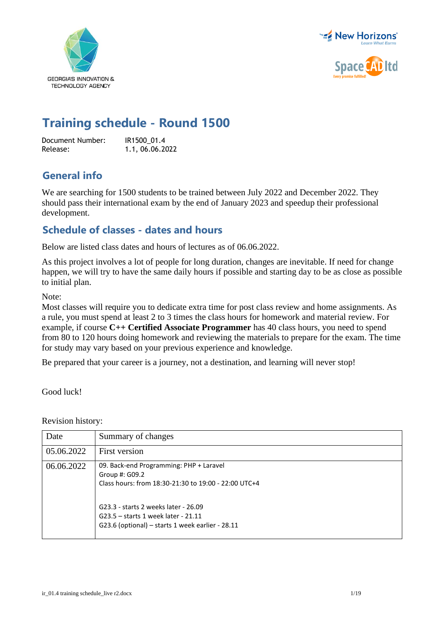



## **Training schedule - Round 1500**

Document Number: IR1500\_01.4<br>Release: 1.1.06.06.20 Release: 1.1, 06.06.2022

## **General info**

We are searching for 1500 students to be trained between July 2022 and December 2022. They should pass their international exam by the end of January 2023 and speedup their professional development.

## **Schedule of classes - dates and hours**

Below are listed class dates and hours of lectures as of 06.06.2022.

As this project involves a lot of people for long duration, changes are inevitable. If need for change happen, we will try to have the same daily hours if possible and starting day to be as close as possible to initial plan.

Note:

Most classes will require you to dedicate extra time for post class review and home assignments. As a rule, you must spend at least 2 to 3 times the class hours for homework and material review. For example, if course **C++ Certified Associate Programmer** has 40 class hours, you need to spend from 80 to 120 hours doing homework and reviewing the materials to prepare for the exam. The time for study may vary based on your previous experience and knowledge.

Be prepared that your career is a journey, not a destination, and learning will never stop!

Good luck!

Revision history:

| Date       | Summary of changes                                                                                                                                                                                                                                   |
|------------|------------------------------------------------------------------------------------------------------------------------------------------------------------------------------------------------------------------------------------------------------|
| 05.06.2022 | First version                                                                                                                                                                                                                                        |
| 06.06.2022 | 09. Back-end Programming: PHP + Laravel<br>Group #: G09.2<br>Class hours: from 18:30-21:30 to 19:00 - 22:00 UTC+4<br>G23.3 - starts 2 weeks later - 26.09<br>G23.5 - starts 1 week later - 21.11<br>G23.6 (optional) - starts 1 week earlier - 28.11 |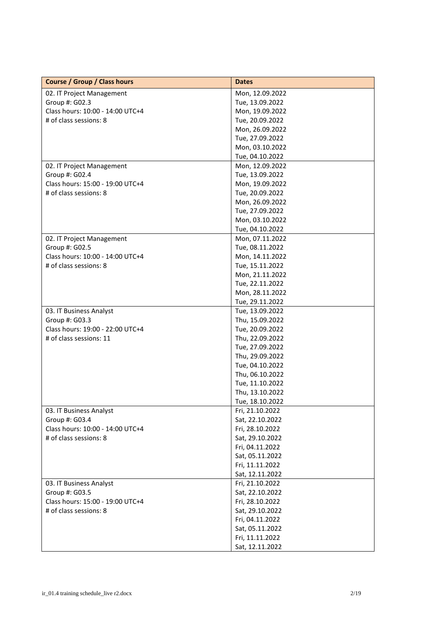| <b>Course / Group / Class hours</b> | <b>Dates</b>                       |
|-------------------------------------|------------------------------------|
| 02. IT Project Management           | Mon, 12.09.2022                    |
| Group #: G02.3                      | Tue, 13.09.2022                    |
| Class hours: 10:00 - 14:00 UTC+4    | Mon, 19.09.2022                    |
| # of class sessions: 8              | Tue, 20.09.2022                    |
|                                     | Mon, 26.09.2022                    |
|                                     | Tue, 27.09.2022                    |
|                                     | Mon, 03.10.2022                    |
|                                     | Tue, 04.10.2022                    |
| 02. IT Project Management           | Mon, 12.09.2022                    |
| Group #: G02.4                      | Tue, 13.09.2022                    |
| Class hours: 15:00 - 19:00 UTC+4    | Mon, 19.09.2022                    |
| # of class sessions: 8              | Tue, 20.09.2022                    |
|                                     | Mon, 26.09.2022                    |
|                                     | Tue, 27.09.2022                    |
|                                     | Mon, 03.10.2022                    |
|                                     | Tue, 04.10.2022                    |
| 02. IT Project Management           | Mon, 07.11.2022                    |
| Group #: G02.5                      | Tue, 08.11.2022                    |
| Class hours: 10:00 - 14:00 UTC+4    | Mon, 14.11.2022                    |
| # of class sessions: 8              | Tue, 15.11.2022                    |
|                                     | Mon, 21.11.2022                    |
|                                     | Tue, 22.11.2022                    |
|                                     | Mon, 28.11.2022                    |
|                                     | Tue, 29.11.2022                    |
| 03. IT Business Analyst             | Tue, 13.09.2022                    |
| Group #: G03.3                      | Thu, 15.09.2022                    |
| Class hours: 19:00 - 22:00 UTC+4    | Tue, 20.09.2022                    |
| # of class sessions: 11             | Thu, 22.09.2022                    |
|                                     | Tue, 27.09.2022                    |
|                                     | Thu, 29.09.2022                    |
|                                     | Tue, 04.10.2022                    |
|                                     | Thu, 06.10.2022                    |
|                                     | Tue, 11.10.2022                    |
|                                     | Thu, 13.10.2022                    |
|                                     | Tue, 18.10.2022                    |
| 03. IT Business Analyst             | Fri, 21.10.2022                    |
| Group #: G03.4                      | Sat, 22.10.2022                    |
| Class hours: 10:00 - 14:00 UTC+4    | Fri, 28.10.2022                    |
| # of class sessions: 8              | Sat, 29.10.2022                    |
|                                     |                                    |
|                                     | Fri, 04.11.2022<br>Sat, 05.11.2022 |
|                                     |                                    |
|                                     | Fri, 11.11.2022                    |
|                                     | Sat, 12.11.2022                    |
| 03. IT Business Analyst             | Fri, 21.10.2022                    |
| Group #: G03.5                      | Sat, 22.10.2022                    |
| Class hours: 15:00 - 19:00 UTC+4    | Fri, 28.10.2022                    |
| # of class sessions: 8              | Sat, 29.10.2022                    |
|                                     | Fri, 04.11.2022                    |
|                                     | Sat, 05.11.2022                    |
|                                     | Fri, 11.11.2022                    |
|                                     | Sat, 12.11.2022                    |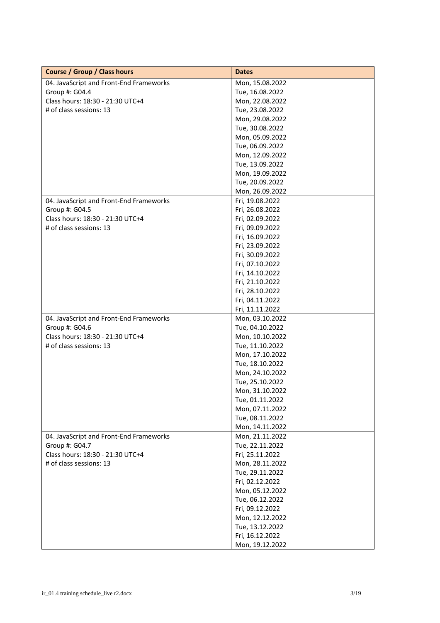| <b>Course / Group / Class hours</b>     | <b>Dates</b>    |
|-----------------------------------------|-----------------|
| 04. JavaScript and Front-End Frameworks | Mon, 15.08.2022 |
| Group #: G04.4                          | Tue, 16.08.2022 |
| Class hours: 18:30 - 21:30 UTC+4        | Mon, 22.08.2022 |
| # of class sessions: 13                 | Tue, 23.08.2022 |
|                                         | Mon, 29.08.2022 |
|                                         | Tue, 30.08.2022 |
|                                         | Mon, 05.09.2022 |
|                                         | Tue, 06.09.2022 |
|                                         | Mon, 12.09.2022 |
|                                         | Tue, 13.09.2022 |
|                                         | Mon, 19.09.2022 |
|                                         | Tue, 20.09.2022 |
|                                         | Mon, 26.09.2022 |
| 04. JavaScript and Front-End Frameworks | Fri, 19.08.2022 |
| Group #: G04.5                          | Fri, 26.08.2022 |
| Class hours: 18:30 - 21:30 UTC+4        | Fri, 02.09.2022 |
| # of class sessions: 13                 | Fri, 09.09.2022 |
|                                         | Fri, 16.09.2022 |
|                                         | Fri, 23.09.2022 |
|                                         | Fri, 30.09.2022 |
|                                         | Fri, 07.10.2022 |
|                                         | Fri, 14.10.2022 |
|                                         | Fri, 21.10.2022 |
|                                         | Fri, 28.10.2022 |
|                                         | Fri, 04.11.2022 |
|                                         | Fri, 11.11.2022 |
| 04. JavaScript and Front-End Frameworks | Mon, 03.10.2022 |
| Group #: G04.6                          | Tue, 04.10.2022 |
| Class hours: 18:30 - 21:30 UTC+4        | Mon, 10.10.2022 |
| # of class sessions: 13                 | Tue, 11.10.2022 |
|                                         | Mon, 17.10.2022 |
|                                         | Tue, 18.10.2022 |
|                                         | Mon, 24.10.2022 |
|                                         | Tue, 25.10.2022 |
|                                         | Mon, 31.10.2022 |
|                                         | Tue, 01.11.2022 |
|                                         | Mon, 07.11.2022 |
|                                         | Tue, 08.11.2022 |
|                                         | Mon, 14.11.2022 |
| 04. JavaScript and Front-End Frameworks | Mon, 21.11.2022 |
| Group #: G04.7                          | Tue, 22.11.2022 |
| Class hours: 18:30 - 21:30 UTC+4        | Fri, 25.11.2022 |
| # of class sessions: 13                 | Mon, 28.11.2022 |
|                                         | Tue, 29.11.2022 |
|                                         | Fri, 02.12.2022 |
|                                         | Mon, 05.12.2022 |
|                                         | Tue, 06.12.2022 |
|                                         | Fri, 09.12.2022 |
|                                         | Mon, 12.12.2022 |
|                                         | Tue, 13.12.2022 |
|                                         | Fri, 16.12.2022 |
|                                         | Mon, 19.12.2022 |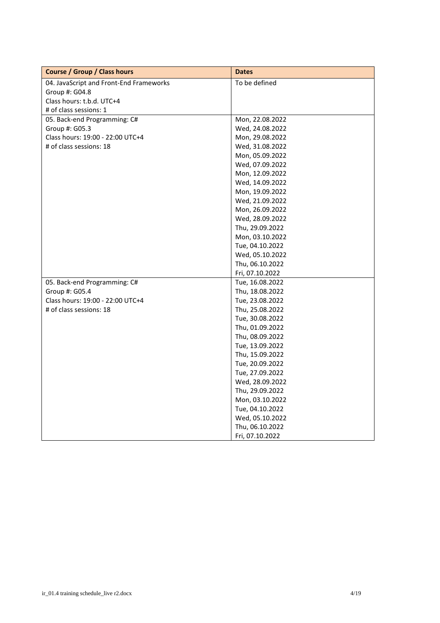| <b>Course / Group / Class hours</b>     | <b>Dates</b>    |
|-----------------------------------------|-----------------|
| 04. JavaScript and Front-End Frameworks | To be defined   |
| Group #: G04.8                          |                 |
| Class hours: t.b.d. UTC+4               |                 |
| # of class sessions: 1                  |                 |
| 05. Back-end Programming: C#            | Mon, 22.08.2022 |
| Group #: G05.3                          | Wed, 24.08.2022 |
| Class hours: 19:00 - 22:00 UTC+4        | Mon, 29.08.2022 |
| # of class sessions: 18                 | Wed, 31.08.2022 |
|                                         | Mon, 05.09.2022 |
|                                         | Wed, 07.09.2022 |
|                                         | Mon, 12.09.2022 |
|                                         | Wed, 14.09.2022 |
|                                         | Mon, 19.09.2022 |
|                                         | Wed, 21.09.2022 |
|                                         | Mon, 26.09.2022 |
|                                         | Wed, 28.09.2022 |
|                                         | Thu, 29.09.2022 |
|                                         | Mon, 03.10.2022 |
|                                         | Tue, 04.10.2022 |
|                                         | Wed, 05.10.2022 |
|                                         | Thu, 06.10.2022 |
|                                         | Fri, 07.10.2022 |
| 05. Back-end Programming: C#            | Tue, 16.08.2022 |
| Group #: G05.4                          | Thu, 18.08.2022 |
| Class hours: 19:00 - 22:00 UTC+4        | Tue, 23.08.2022 |
| # of class sessions: 18                 | Thu, 25.08.2022 |
|                                         | Tue, 30.08.2022 |
|                                         | Thu, 01.09.2022 |
|                                         | Thu, 08.09.2022 |
|                                         | Tue, 13.09.2022 |
|                                         | Thu, 15.09.2022 |
|                                         | Tue, 20.09.2022 |
|                                         | Tue, 27.09.2022 |
|                                         | Wed, 28.09.2022 |
|                                         | Thu, 29.09.2022 |
|                                         | Mon, 03.10.2022 |
|                                         | Tue, 04.10.2022 |
|                                         | Wed, 05.10.2022 |
|                                         | Thu, 06.10.2022 |
|                                         | Fri, 07.10.2022 |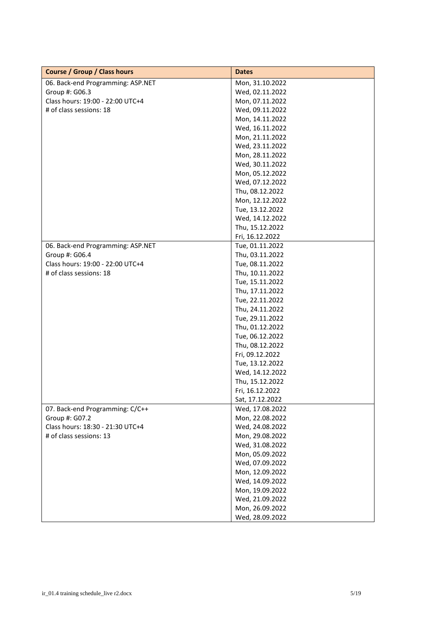| <b>Course / Group / Class hours</b> | <b>Dates</b>    |
|-------------------------------------|-----------------|
| 06. Back-end Programming: ASP.NET   | Mon, 31.10.2022 |
| Group #: G06.3                      | Wed, 02.11.2022 |
| Class hours: 19:00 - 22:00 UTC+4    | Mon, 07.11.2022 |
| # of class sessions: 18             | Wed, 09.11.2022 |
|                                     | Mon, 14.11.2022 |
|                                     | Wed, 16.11.2022 |
|                                     | Mon, 21.11.2022 |
|                                     | Wed, 23.11.2022 |
|                                     | Mon, 28.11.2022 |
|                                     | Wed, 30.11.2022 |
|                                     | Mon, 05.12.2022 |
|                                     | Wed, 07.12.2022 |
|                                     | Thu, 08.12.2022 |
|                                     | Mon, 12.12.2022 |
|                                     | Tue, 13.12.2022 |
|                                     | Wed, 14.12.2022 |
|                                     | Thu, 15.12.2022 |
|                                     | Fri, 16.12.2022 |
| 06. Back-end Programming: ASP.NET   | Tue, 01.11.2022 |
| Group #: G06.4                      | Thu, 03.11.2022 |
| Class hours: 19:00 - 22:00 UTC+4    | Tue, 08.11.2022 |
| # of class sessions: 18             | Thu, 10.11.2022 |
|                                     | Tue, 15.11.2022 |
|                                     | Thu, 17.11.2022 |
|                                     | Tue, 22.11.2022 |
|                                     | Thu, 24.11.2022 |
|                                     | Tue, 29.11.2022 |
|                                     | Thu, 01.12.2022 |
|                                     | Tue, 06.12.2022 |
|                                     | Thu, 08.12.2022 |
|                                     | Fri, 09.12.2022 |
|                                     | Tue, 13.12.2022 |
|                                     | Wed, 14.12.2022 |
|                                     | Thu, 15.12.2022 |
|                                     | Fri, 16.12.2022 |
|                                     | Sat, 17.12.2022 |
| 07. Back-end Programming: C/C++     | Wed, 17.08.2022 |
| Group #: G07.2                      | Mon, 22.08.2022 |
| Class hours: 18:30 - 21:30 UTC+4    | Wed, 24.08.2022 |
| # of class sessions: 13             | Mon, 29.08.2022 |
|                                     | Wed, 31.08.2022 |
|                                     | Mon, 05.09.2022 |
|                                     | Wed, 07.09.2022 |
|                                     | Mon, 12.09.2022 |
|                                     | Wed, 14.09.2022 |
|                                     | Mon, 19.09.2022 |
|                                     | Wed, 21.09.2022 |
|                                     | Mon, 26.09.2022 |
|                                     |                 |
|                                     | Wed, 28.09.2022 |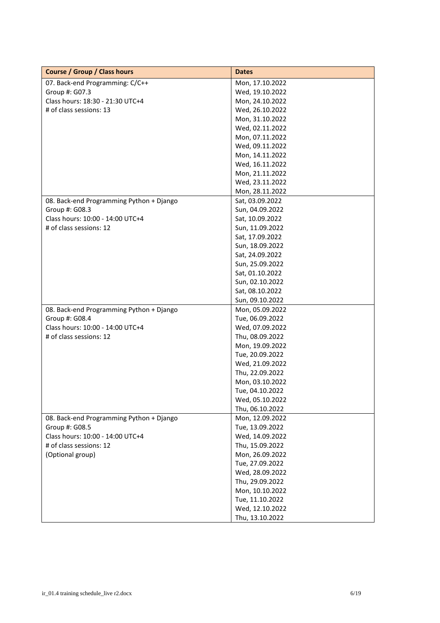| <b>Course / Group / Class hours</b>      | <b>Dates</b>    |
|------------------------------------------|-----------------|
| 07. Back-end Programming: C/C++          | Mon, 17.10.2022 |
| Group #: G07.3                           | Wed, 19.10.2022 |
| Class hours: 18:30 - 21:30 UTC+4         | Mon, 24.10.2022 |
| # of class sessions: 13                  | Wed, 26.10.2022 |
|                                          | Mon, 31.10.2022 |
|                                          | Wed, 02.11.2022 |
|                                          | Mon, 07.11.2022 |
|                                          | Wed, 09.11.2022 |
|                                          | Mon, 14.11.2022 |
|                                          | Wed, 16.11.2022 |
|                                          | Mon, 21.11.2022 |
|                                          | Wed, 23.11.2022 |
|                                          | Mon, 28.11.2022 |
| 08. Back-end Programming Python + Django | Sat, 03.09.2022 |
| Group #: G08.3                           | Sun, 04.09.2022 |
| Class hours: 10:00 - 14:00 UTC+4         | Sat, 10.09.2022 |
| # of class sessions: 12                  | Sun, 11.09.2022 |
|                                          | Sat, 17.09.2022 |
|                                          | Sun, 18.09.2022 |
|                                          | Sat, 24.09.2022 |
|                                          | Sun, 25.09.2022 |
|                                          | Sat, 01.10.2022 |
|                                          | Sun, 02.10.2022 |
|                                          | Sat, 08.10.2022 |
|                                          | Sun, 09.10.2022 |
| 08. Back-end Programming Python + Django | Mon, 05.09.2022 |
| Group #: G08.4                           | Tue, 06.09.2022 |
| Class hours: 10:00 - 14:00 UTC+4         | Wed, 07.09.2022 |
| # of class sessions: 12                  | Thu, 08.09.2022 |
|                                          | Mon, 19.09.2022 |
|                                          | Tue, 20.09.2022 |
|                                          | Wed, 21.09.2022 |
|                                          | Thu, 22.09.2022 |
|                                          | Mon, 03.10.2022 |
|                                          | Tue, 04.10.2022 |
|                                          | Wed, 05.10.2022 |
|                                          | Thu, 06.10.2022 |
| 08. Back-end Programming Python + Django | Mon, 12.09.2022 |
| Group #: G08.5                           | Tue, 13.09.2022 |
| Class hours: 10:00 - 14:00 UTC+4         | Wed, 14.09.2022 |
| # of class sessions: 12                  | Thu, 15.09.2022 |
| (Optional group)                         | Mon, 26.09.2022 |
|                                          | Tue, 27.09.2022 |
|                                          | Wed, 28.09.2022 |
|                                          | Thu, 29.09.2022 |
|                                          | Mon, 10.10.2022 |
|                                          | Tue, 11.10.2022 |
|                                          | Wed, 12.10.2022 |
|                                          | Thu, 13.10.2022 |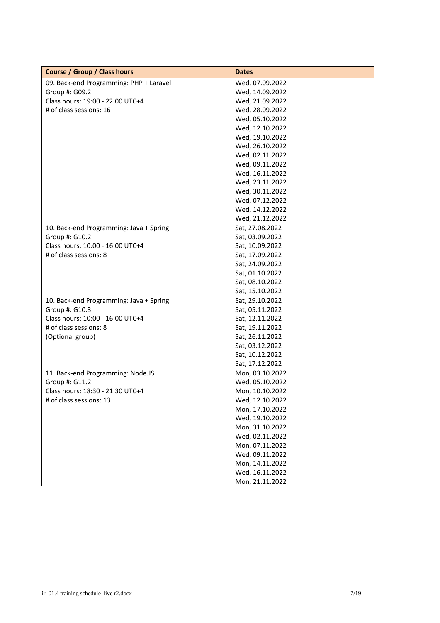| <b>Course / Group / Class hours</b>     | <b>Dates</b>    |
|-----------------------------------------|-----------------|
| 09. Back-end Programming: PHP + Laravel | Wed, 07.09.2022 |
| Group #: G09.2                          | Wed, 14.09.2022 |
| Class hours: 19:00 - 22:00 UTC+4        | Wed, 21.09.2022 |
| # of class sessions: 16                 | Wed, 28.09.2022 |
|                                         | Wed, 05.10.2022 |
|                                         | Wed, 12.10.2022 |
|                                         | Wed, 19.10.2022 |
|                                         | Wed, 26.10.2022 |
|                                         | Wed, 02.11.2022 |
|                                         | Wed, 09.11.2022 |
|                                         | Wed, 16.11.2022 |
|                                         | Wed, 23.11.2022 |
|                                         | Wed, 30.11.2022 |
|                                         | Wed, 07.12.2022 |
|                                         | Wed, 14.12.2022 |
|                                         | Wed, 21.12.2022 |
| 10. Back-end Programming: Java + Spring | Sat, 27.08.2022 |
| Group #: G10.2                          | Sat, 03.09.2022 |
| Class hours: 10:00 - 16:00 UTC+4        | Sat, 10.09.2022 |
| # of class sessions: 8                  | Sat, 17.09.2022 |
|                                         | Sat, 24.09.2022 |
|                                         | Sat, 01.10.2022 |
|                                         | Sat, 08.10.2022 |
|                                         | Sat, 15.10.2022 |
| 10. Back-end Programming: Java + Spring | Sat, 29.10.2022 |
| Group #: G10.3                          | Sat, 05.11.2022 |
| Class hours: 10:00 - 16:00 UTC+4        | Sat, 12.11.2022 |
| # of class sessions: 8                  | Sat, 19.11.2022 |
| (Optional group)                        | Sat, 26.11.2022 |
|                                         | Sat, 03.12.2022 |
|                                         | Sat, 10.12.2022 |
|                                         | Sat, 17.12.2022 |
| 11. Back-end Programming: Node.JS       | Mon, 03.10.2022 |
| Group #: G11.2                          | Wed, 05.10.2022 |
| Class hours: 18:30 - 21:30 UTC+4        | Mon, 10.10.2022 |
| # of class sessions: 13                 | Wed, 12.10.2022 |
|                                         | Mon, 17.10.2022 |
|                                         | Wed, 19.10.2022 |
|                                         | Mon, 31.10.2022 |
|                                         | Wed, 02.11.2022 |
|                                         | Mon, 07.11.2022 |
|                                         | Wed, 09.11.2022 |
|                                         | Mon, 14.11.2022 |
|                                         | Wed, 16.11.2022 |
|                                         | Mon, 21.11.2022 |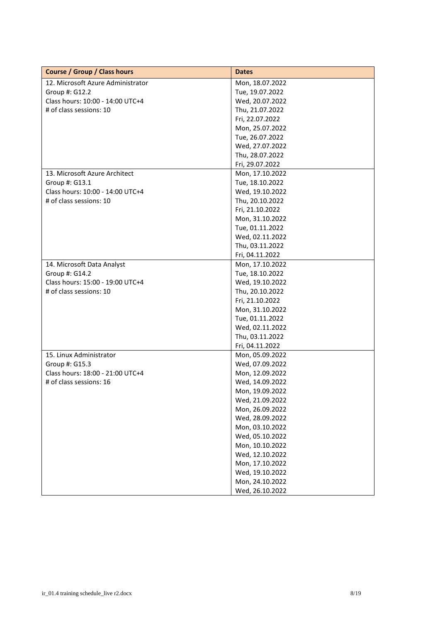| <b>Course / Group / Class hours</b> | <b>Dates</b>    |
|-------------------------------------|-----------------|
| 12. Microsoft Azure Administrator   | Mon, 18.07.2022 |
| Group #: G12.2                      | Tue, 19.07.2022 |
| Class hours: 10:00 - 14:00 UTC+4    | Wed, 20.07.2022 |
| # of class sessions: 10             | Thu, 21.07.2022 |
|                                     | Fri, 22.07.2022 |
|                                     | Mon, 25.07.2022 |
|                                     | Tue, 26.07.2022 |
|                                     | Wed, 27.07.2022 |
|                                     | Thu, 28.07.2022 |
|                                     | Fri, 29.07.2022 |
| 13. Microsoft Azure Architect       | Mon, 17.10.2022 |
| Group #: G13.1                      | Tue, 18.10.2022 |
| Class hours: 10:00 - 14:00 UTC+4    | Wed, 19.10.2022 |
| # of class sessions: 10             | Thu, 20.10.2022 |
|                                     | Fri, 21.10.2022 |
|                                     | Mon, 31.10.2022 |
|                                     | Tue, 01.11.2022 |
|                                     | Wed, 02.11.2022 |
|                                     | Thu, 03.11.2022 |
|                                     | Fri, 04.11.2022 |
| 14. Microsoft Data Analyst          | Mon, 17.10.2022 |
| Group #: G14.2                      | Tue, 18.10.2022 |
| Class hours: 15:00 - 19:00 UTC+4    | Wed, 19.10.2022 |
| # of class sessions: 10             | Thu, 20.10.2022 |
|                                     | Fri, 21.10.2022 |
|                                     | Mon, 31.10.2022 |
|                                     | Tue, 01.11.2022 |
|                                     | Wed, 02.11.2022 |
|                                     | Thu, 03.11.2022 |
|                                     | Fri, 04.11.2022 |
| 15. Linux Administrator             | Mon, 05.09.2022 |
| Group #: G15.3                      | Wed, 07.09.2022 |
| Class hours: 18:00 - 21:00 UTC+4    | Mon, 12.09.2022 |
| # of class sessions: 16             | Wed, 14.09.2022 |
|                                     | Mon, 19.09.2022 |
|                                     | Wed, 21.09.2022 |
|                                     | Mon, 26.09.2022 |
|                                     | Wed, 28.09.2022 |
|                                     | Mon, 03.10.2022 |
|                                     | Wed, 05.10.2022 |
|                                     | Mon, 10.10.2022 |
|                                     | Wed, 12.10.2022 |
|                                     | Mon, 17.10.2022 |
|                                     | Wed, 19.10.2022 |
|                                     | Mon, 24.10.2022 |
|                                     | Wed, 26.10.2022 |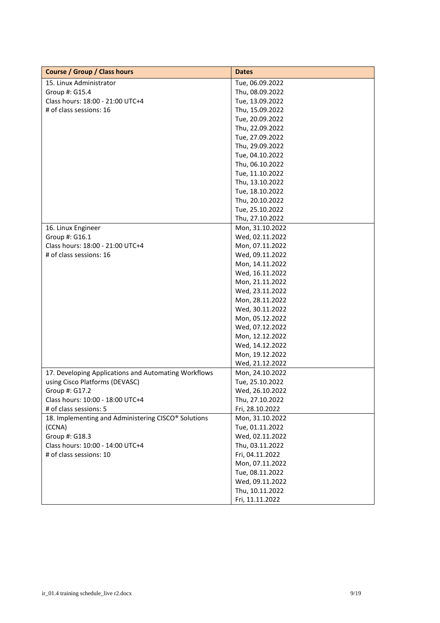| <b>Course / Group / Class hours</b>                  | <b>Dates</b>    |
|------------------------------------------------------|-----------------|
| 15. Linux Administrator                              | Tue, 06.09.2022 |
| Group #: G15.4                                       | Thu, 08.09.2022 |
| Class hours: 18:00 - 21:00 UTC+4                     | Tue, 13.09.2022 |
| # of class sessions: 16                              | Thu, 15.09.2022 |
|                                                      | Tue, 20.09.2022 |
|                                                      | Thu, 22.09.2022 |
|                                                      | Tue, 27.09.2022 |
|                                                      | Thu, 29.09.2022 |
|                                                      | Tue, 04.10.2022 |
|                                                      | Thu, 06.10.2022 |
|                                                      | Tue, 11.10.2022 |
|                                                      | Thu, 13.10.2022 |
|                                                      | Tue, 18.10.2022 |
|                                                      | Thu, 20.10.2022 |
|                                                      | Tue, 25.10.2022 |
|                                                      | Thu, 27.10.2022 |
| 16. Linux Engineer                                   | Mon, 31.10.2022 |
| Group #: G16.1                                       | Wed, 02.11.2022 |
| Class hours: 18:00 - 21:00 UTC+4                     | Mon, 07.11.2022 |
| # of class sessions: 16                              | Wed, 09.11.2022 |
|                                                      | Mon, 14.11.2022 |
|                                                      | Wed, 16.11.2022 |
|                                                      | Mon, 21.11.2022 |
|                                                      | Wed, 23.11.2022 |
|                                                      | Mon, 28.11.2022 |
|                                                      | Wed, 30.11.2022 |
|                                                      | Mon, 05.12.2022 |
|                                                      | Wed, 07.12.2022 |
|                                                      | Mon, 12.12.2022 |
|                                                      | Wed, 14.12.2022 |
|                                                      | Mon, 19.12.2022 |
|                                                      | Wed, 21.12.2022 |
| 17. Developing Applications and Automating Workflows | Mon, 24.10.2022 |
| using Cisco Platforms (DEVASC)                       | Tue, 25.10.2022 |
| Group #: G17.2                                       | Wed, 26.10.2022 |
| Class hours: 10:00 - 18:00 UTC+4                     | Thu, 27.10.2022 |
| # of class sessions: 5                               | Fri, 28.10.2022 |
| 18. Implementing and Administering CISCO® Solutions  | Mon, 31.10.2022 |
| (CCNA)                                               | Tue, 01.11.2022 |
| Group #: G18.3                                       | Wed, 02.11.2022 |
| Class hours: 10:00 - 14:00 UTC+4                     | Thu, 03.11.2022 |
| # of class sessions: 10                              | Fri, 04.11.2022 |
|                                                      | Mon, 07.11.2022 |
|                                                      | Tue, 08.11.2022 |
|                                                      | Wed, 09.11.2022 |
|                                                      | Thu, 10.11.2022 |
|                                                      | Fri, 11.11.2022 |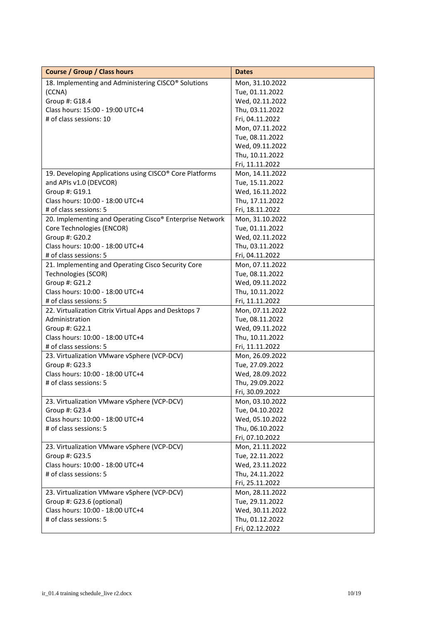| <b>Course / Group / Class hours</b>                           | <b>Dates</b>    |
|---------------------------------------------------------------|-----------------|
| 18. Implementing and Administering CISCO® Solutions           | Mon, 31.10.2022 |
| (CCNA)                                                        | Tue, 01.11.2022 |
| Group #: G18.4                                                | Wed, 02.11.2022 |
| Class hours: 15:00 - 19:00 UTC+4                              | Thu, 03.11.2022 |
| # of class sessions: 10                                       | Fri, 04.11.2022 |
|                                                               | Mon, 07.11.2022 |
|                                                               | Tue, 08.11.2022 |
|                                                               | Wed, 09.11.2022 |
|                                                               | Thu, 10.11.2022 |
|                                                               | Fri, 11.11.2022 |
| 19. Developing Applications using CISCO® Core Platforms       | Mon, 14.11.2022 |
| and APIs v1.0 (DEVCOR)                                        | Tue, 15.11.2022 |
| Group #: G19.1                                                | Wed, 16.11.2022 |
| Class hours: 10:00 - 18:00 UTC+4                              | Thu, 17.11.2022 |
| # of class sessions: 5                                        | Fri, 18.11.2022 |
| 20. Implementing and Operating Cisco® Enterprise Network      | Mon, 31.10.2022 |
| Core Technologies (ENCOR)                                     | Tue, 01.11.2022 |
| Group #: G20.2                                                | Wed, 02.11.2022 |
| Class hours: 10:00 - 18:00 UTC+4                              | Thu, 03.11.2022 |
| # of class sessions: 5                                        | Fri, 04.11.2022 |
| 21. Implementing and Operating Cisco Security Core            | Mon, 07.11.2022 |
| Technologies (SCOR)                                           | Tue, 08.11.2022 |
| Group #: G21.2                                                | Wed, 09.11.2022 |
| Class hours: 10:00 - 18:00 UTC+4                              | Thu, 10.11.2022 |
| # of class sessions: 5                                        | Fri, 11.11.2022 |
| 22. Virtualization Citrix Virtual Apps and Desktops 7         | Mon, 07.11.2022 |
| Administration                                                | Tue, 08.11.2022 |
| Group #: G22.1                                                | Wed, 09.11.2022 |
| Class hours: 10:00 - 18:00 UTC+4                              | Thu, 10.11.2022 |
| # of class sessions: 5                                        | Fri, 11.11.2022 |
| 23. Virtualization VMware vSphere (VCP-DCV)                   | Mon, 26.09.2022 |
| Group #: G23.3                                                | Tue, 27.09.2022 |
| Class hours: 10:00 - 18:00 UTC+4                              | Wed, 28.09.2022 |
| # of class sessions: 5                                        | Thu, 29.09.2022 |
|                                                               | Fri, 30.09.2022 |
| 23. Virtualization VMware vSphere (VCP-DCV)                   | Mon, 03.10.2022 |
| Group #: G23.4                                                | Tue, 04.10.2022 |
| Class hours: 10:00 - 18:00 UTC+4                              | Wed, 05.10.2022 |
| # of class sessions: 5                                        | Thu, 06.10.2022 |
|                                                               | Fri, 07.10.2022 |
| 23. Virtualization VMware vSphere (VCP-DCV)                   | Mon, 21.11.2022 |
| Group #: G23.5                                                | Tue, 22.11.2022 |
| Class hours: 10:00 - 18:00 UTC+4                              | Wed, 23.11.2022 |
| # of class sessions: 5                                        | Thu, 24.11.2022 |
|                                                               |                 |
|                                                               | Fri, 25.11.2022 |
| 23. Virtualization VMware vSphere (VCP-DCV)                   | Mon, 28.11.2022 |
| Group #: G23.6 (optional)<br>Class hours: 10:00 - 18:00 UTC+4 | Tue, 29.11.2022 |
| # of class sessions: 5                                        | Wed, 30.11.2022 |
|                                                               | Thu, 01.12.2022 |
|                                                               | Fri, 02.12.2022 |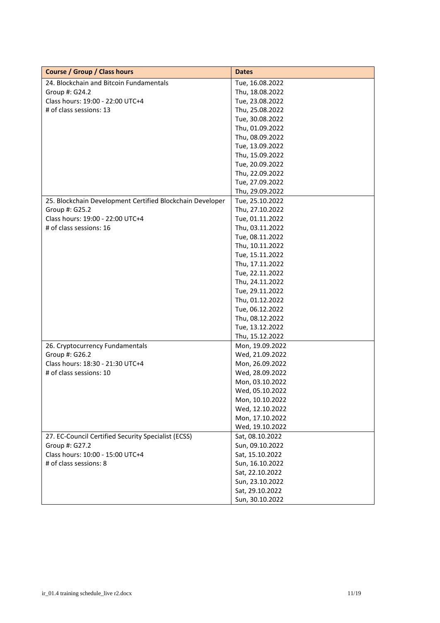| <b>Course / Group / Class hours</b>                       | <b>Dates</b>    |
|-----------------------------------------------------------|-----------------|
| 24. Blockchain and Bitcoin Fundamentals                   | Tue, 16.08.2022 |
| Group #: G24.2                                            | Thu, 18.08.2022 |
| Class hours: 19:00 - 22:00 UTC+4                          | Tue, 23.08.2022 |
| # of class sessions: 13                                   | Thu, 25.08.2022 |
|                                                           | Tue, 30.08.2022 |
|                                                           | Thu, 01.09.2022 |
|                                                           | Thu, 08.09.2022 |
|                                                           | Tue, 13.09.2022 |
|                                                           | Thu, 15.09.2022 |
|                                                           | Tue, 20.09.2022 |
|                                                           | Thu, 22.09.2022 |
|                                                           | Tue, 27.09.2022 |
|                                                           | Thu, 29.09.2022 |
| 25. Blockchain Development Certified Blockchain Developer | Tue, 25.10.2022 |
| Group #: G25.2                                            | Thu, 27.10.2022 |
| Class hours: 19:00 - 22:00 UTC+4                          | Tue, 01.11.2022 |
| # of class sessions: 16                                   | Thu, 03.11.2022 |
|                                                           | Tue, 08.11.2022 |
|                                                           | Thu, 10.11.2022 |
|                                                           | Tue, 15.11.2022 |
|                                                           | Thu, 17.11.2022 |
|                                                           | Tue, 22.11.2022 |
|                                                           | Thu, 24.11.2022 |
|                                                           | Tue, 29.11.2022 |
|                                                           | Thu, 01.12.2022 |
|                                                           | Tue, 06.12.2022 |
|                                                           | Thu, 08.12.2022 |
|                                                           | Tue, 13.12.2022 |
|                                                           | Thu, 15.12.2022 |
| 26. Cryptocurrency Fundamentals                           | Mon, 19.09.2022 |
| Group #: G26.2                                            | Wed, 21.09.2022 |
| Class hours: 18:30 - 21:30 UTC+4                          | Mon, 26.09.2022 |
| # of class sessions: 10                                   | Wed, 28.09.2022 |
|                                                           | Mon, 03.10.2022 |
|                                                           | Wed, 05.10.2022 |
|                                                           | Mon, 10.10.2022 |
|                                                           | Wed, 12.10.2022 |
|                                                           | Mon, 17.10.2022 |
|                                                           | Wed, 19.10.2022 |
| 27. EC-Council Certified Security Specialist (ECSS)       | Sat, 08.10.2022 |
| Group #: G27.2                                            | Sun, 09.10.2022 |
| Class hours: 10:00 - 15:00 UTC+4                          | Sat, 15.10.2022 |
| # of class sessions: 8                                    | Sun, 16.10.2022 |
|                                                           | Sat, 22.10.2022 |
|                                                           | Sun, 23.10.2022 |
|                                                           | Sat, 29.10.2022 |
|                                                           | Sun, 30.10.2022 |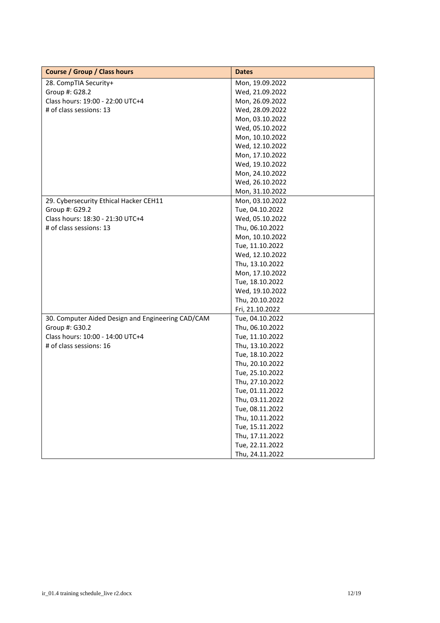| <b>Course / Group / Class hours</b>               | <b>Dates</b>    |
|---------------------------------------------------|-----------------|
| 28. CompTIA Security+                             | Mon, 19.09.2022 |
| Group #: G28.2                                    | Wed, 21.09.2022 |
| Class hours: 19:00 - 22:00 UTC+4                  | Mon, 26.09.2022 |
| # of class sessions: 13                           | Wed, 28.09.2022 |
|                                                   | Mon, 03.10.2022 |
|                                                   | Wed, 05.10.2022 |
|                                                   | Mon, 10.10.2022 |
|                                                   | Wed, 12.10.2022 |
|                                                   | Mon, 17.10.2022 |
|                                                   | Wed, 19.10.2022 |
|                                                   | Mon, 24.10.2022 |
|                                                   | Wed, 26.10.2022 |
|                                                   | Mon, 31.10.2022 |
| 29. Cybersecurity Ethical Hacker CEH11            | Mon, 03.10.2022 |
| Group #: G29.2                                    | Tue, 04.10.2022 |
| Class hours: 18:30 - 21:30 UTC+4                  | Wed, 05.10.2022 |
| # of class sessions: 13                           | Thu, 06.10.2022 |
|                                                   | Mon, 10.10.2022 |
|                                                   | Tue, 11.10.2022 |
|                                                   | Wed, 12.10.2022 |
|                                                   | Thu, 13.10.2022 |
|                                                   | Mon, 17.10.2022 |
|                                                   | Tue, 18.10.2022 |
|                                                   | Wed, 19.10.2022 |
|                                                   | Thu, 20.10.2022 |
|                                                   | Fri, 21.10.2022 |
| 30. Computer Aided Design and Engineering CAD/CAM | Tue, 04.10.2022 |
| Group #: G30.2                                    | Thu, 06.10.2022 |
| Class hours: 10:00 - 14:00 UTC+4                  | Tue, 11.10.2022 |
| # of class sessions: 16                           | Thu, 13.10.2022 |
|                                                   | Tue, 18.10.2022 |
|                                                   | Thu, 20.10.2022 |
|                                                   | Tue, 25.10.2022 |
|                                                   | Thu, 27.10.2022 |
|                                                   | Tue, 01.11.2022 |
|                                                   | Thu, 03.11.2022 |
|                                                   | Tue, 08.11.2022 |
|                                                   | Thu, 10.11.2022 |
|                                                   | Tue, 15.11.2022 |
|                                                   | Thu, 17.11.2022 |
|                                                   | Tue, 22.11.2022 |
|                                                   | Thu, 24.11.2022 |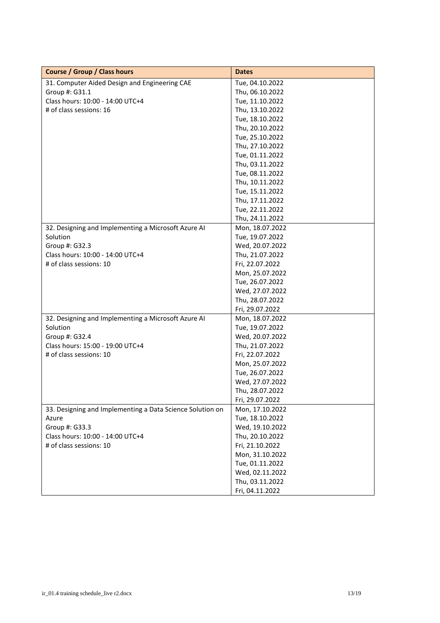| <b>Course / Group / Class hours</b>                       | <b>Dates</b>    |
|-----------------------------------------------------------|-----------------|
| 31. Computer Aided Design and Engineering CAE             | Tue, 04.10.2022 |
| Group #: G31.1                                            | Thu, 06.10.2022 |
| Class hours: 10:00 - 14:00 UTC+4                          | Tue, 11.10.2022 |
| # of class sessions: 16                                   | Thu, 13.10.2022 |
|                                                           | Tue, 18.10.2022 |
|                                                           | Thu, 20.10.2022 |
|                                                           | Tue, 25.10.2022 |
|                                                           | Thu, 27.10.2022 |
|                                                           | Tue, 01.11.2022 |
|                                                           | Thu, 03.11.2022 |
|                                                           | Tue, 08.11.2022 |
|                                                           | Thu, 10.11.2022 |
|                                                           | Tue, 15.11.2022 |
|                                                           | Thu, 17.11.2022 |
|                                                           | Tue, 22.11.2022 |
|                                                           | Thu, 24.11.2022 |
| 32. Designing and Implementing a Microsoft Azure AI       | Mon, 18.07.2022 |
| Solution                                                  | Tue, 19.07.2022 |
| Group #: G32.3                                            | Wed, 20.07.2022 |
| Class hours: 10:00 - 14:00 UTC+4                          | Thu, 21.07.2022 |
| # of class sessions: 10                                   | Fri, 22.07.2022 |
|                                                           | Mon, 25.07.2022 |
|                                                           | Tue, 26.07.2022 |
|                                                           | Wed, 27.07.2022 |
|                                                           | Thu, 28.07.2022 |
|                                                           | Fri, 29.07.2022 |
| 32. Designing and Implementing a Microsoft Azure AI       | Mon, 18.07.2022 |
| Solution                                                  | Tue, 19.07.2022 |
| Group #: G32.4                                            | Wed, 20.07.2022 |
| Class hours: 15:00 - 19:00 UTC+4                          | Thu, 21.07.2022 |
| # of class sessions: 10                                   | Fri, 22.07.2022 |
|                                                           | Mon, 25.07.2022 |
|                                                           | Tue, 26.07.2022 |
|                                                           | Wed, 27.07.2022 |
|                                                           | Thu, 28.07.2022 |
|                                                           | Fri, 29.07.2022 |
| 33. Designing and Implementing a Data Science Solution on | Mon, 17.10.2022 |
| Azure                                                     | Tue, 18.10.2022 |
| Group #: G33.3                                            | Wed, 19.10.2022 |
| Class hours: 10:00 - 14:00 UTC+4                          | Thu, 20.10.2022 |
| # of class sessions: 10                                   | Fri, 21.10.2022 |
|                                                           | Mon, 31.10.2022 |
|                                                           | Tue, 01.11.2022 |
|                                                           | Wed, 02.11.2022 |
|                                                           | Thu, 03.11.2022 |
|                                                           | Fri, 04.11.2022 |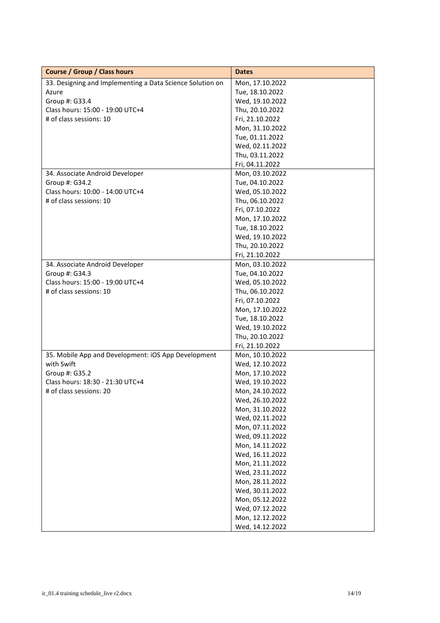| <b>Course / Group / Class hours</b>                       | <b>Dates</b>    |
|-----------------------------------------------------------|-----------------|
| 33. Designing and Implementing a Data Science Solution on | Mon, 17.10.2022 |
| Azure                                                     | Tue, 18.10.2022 |
| Group #: G33.4                                            | Wed, 19.10.2022 |
| Class hours: 15:00 - 19:00 UTC+4                          | Thu, 20.10.2022 |
| # of class sessions: 10                                   | Fri, 21.10.2022 |
|                                                           | Mon, 31.10.2022 |
|                                                           | Tue, 01.11.2022 |
|                                                           | Wed, 02.11.2022 |
|                                                           | Thu, 03.11.2022 |
|                                                           | Fri, 04.11.2022 |
| 34. Associate Android Developer                           | Mon, 03.10.2022 |
| Group #: G34.2                                            | Tue, 04.10.2022 |
| Class hours: 10:00 - 14:00 UTC+4                          | Wed, 05.10.2022 |
| # of class sessions: 10                                   | Thu, 06.10.2022 |
|                                                           | Fri, 07.10.2022 |
|                                                           | Mon, 17.10.2022 |
|                                                           | Tue, 18.10.2022 |
|                                                           | Wed, 19.10.2022 |
|                                                           | Thu, 20.10.2022 |
|                                                           | Fri, 21.10.2022 |
| 34. Associate Android Developer                           | Mon, 03.10.2022 |
| Group #: G34.3                                            | Tue, 04.10.2022 |
| Class hours: 15:00 - 19:00 UTC+4                          | Wed, 05.10.2022 |
| # of class sessions: 10                                   | Thu, 06.10.2022 |
|                                                           | Fri, 07.10.2022 |
|                                                           | Mon, 17.10.2022 |
|                                                           | Tue, 18.10.2022 |
|                                                           | Wed, 19.10.2022 |
|                                                           | Thu, 20.10.2022 |
|                                                           | Fri, 21.10.2022 |
| 35. Mobile App and Development: iOS App Development       | Mon, 10.10.2022 |
| with Swift                                                | Wed, 12.10.2022 |
| Group #: G35.2                                            | Mon, 17.10.2022 |
| Class hours: 18:30 - 21:30 UTC+4                          | Wed, 19.10.2022 |
| # of class sessions: 20                                   | Mon, 24.10.2022 |
|                                                           | Wed, 26.10.2022 |
|                                                           | Mon, 31.10.2022 |
|                                                           | Wed, 02.11.2022 |
|                                                           | Mon, 07.11.2022 |
|                                                           | Wed, 09.11.2022 |
|                                                           | Mon, 14.11.2022 |
|                                                           | Wed, 16.11.2022 |
|                                                           | Mon, 21.11.2022 |
|                                                           | Wed, 23.11.2022 |
|                                                           | Mon, 28.11.2022 |
|                                                           | Wed, 30.11.2022 |
|                                                           | Mon, 05.12.2022 |
|                                                           | Wed, 07.12.2022 |
|                                                           | Mon, 12.12.2022 |
|                                                           | Wed, 14.12.2022 |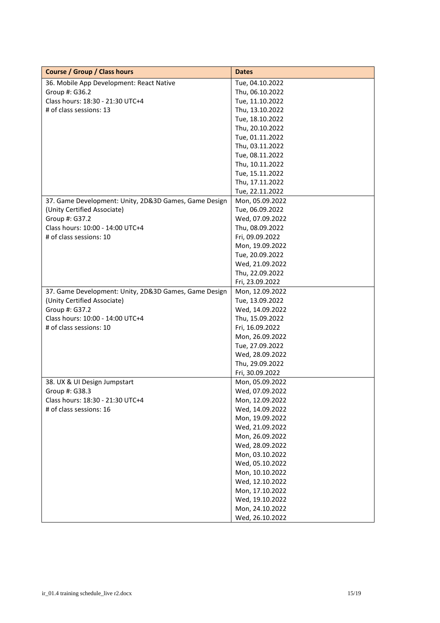| <b>Course / Group / Class hours</b>                   | <b>Dates</b>    |
|-------------------------------------------------------|-----------------|
| 36. Mobile App Development: React Native              | Tue, 04.10.2022 |
| Group #: G36.2                                        | Thu, 06.10.2022 |
| Class hours: 18:30 - 21:30 UTC+4                      | Tue, 11.10.2022 |
| # of class sessions: 13                               | Thu, 13.10.2022 |
|                                                       | Tue, 18.10.2022 |
|                                                       | Thu, 20.10.2022 |
|                                                       | Tue, 01.11.2022 |
|                                                       | Thu, 03.11.2022 |
|                                                       | Tue, 08.11.2022 |
|                                                       | Thu, 10.11.2022 |
|                                                       | Tue, 15.11.2022 |
|                                                       | Thu, 17.11.2022 |
|                                                       | Tue, 22.11.2022 |
| 37. Game Development: Unity, 2D&3D Games, Game Design | Mon, 05.09.2022 |
| (Unity Certified Associate)                           | Tue, 06.09.2022 |
| Group #: G37.2                                        | Wed, 07.09.2022 |
| Class hours: 10:00 - 14:00 UTC+4                      | Thu, 08.09.2022 |
| # of class sessions: 10                               | Fri, 09.09.2022 |
|                                                       | Mon, 19.09.2022 |
|                                                       | Tue, 20.09.2022 |
|                                                       | Wed, 21.09.2022 |
|                                                       | Thu, 22.09.2022 |
|                                                       | Fri, 23.09.2022 |
| 37. Game Development: Unity, 2D&3D Games, Game Design | Mon, 12.09.2022 |
| (Unity Certified Associate)                           | Tue, 13.09.2022 |
| Group #: G37.2                                        | Wed, 14.09.2022 |
| Class hours: 10:00 - 14:00 UTC+4                      | Thu, 15.09.2022 |
| # of class sessions: 10                               | Fri, 16.09.2022 |
|                                                       | Mon, 26.09.2022 |
|                                                       | Tue, 27.09.2022 |
|                                                       | Wed, 28.09.2022 |
|                                                       | Thu, 29.09.2022 |
|                                                       | Fri, 30.09.2022 |
| 38. UX & UI Design Jumpstart                          | Mon, 05.09.2022 |
| Group #: G38.3                                        | Wed, 07.09.2022 |
| Class hours: 18:30 - 21:30 UTC+4                      | Mon, 12.09.2022 |
| # of class sessions: 16                               | Wed, 14.09.2022 |
|                                                       | Mon, 19.09.2022 |
|                                                       | Wed, 21.09.2022 |
|                                                       | Mon, 26.09.2022 |
|                                                       | Wed, 28.09.2022 |
|                                                       | Mon, 03.10.2022 |
|                                                       | Wed, 05.10.2022 |
|                                                       | Mon, 10.10.2022 |
|                                                       | Wed, 12.10.2022 |
|                                                       | Mon, 17.10.2022 |
|                                                       | Wed, 19.10.2022 |
|                                                       | Mon, 24.10.2022 |
|                                                       | Wed, 26.10.2022 |
|                                                       |                 |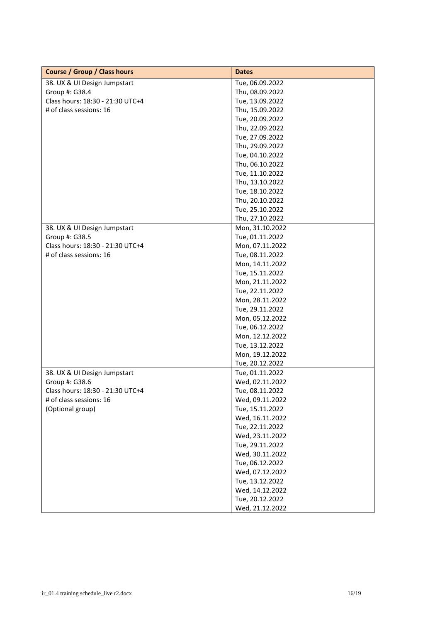| <b>Course / Group / Class hours</b> | <b>Dates</b>    |
|-------------------------------------|-----------------|
| 38. UX & UI Design Jumpstart        | Tue, 06.09.2022 |
| Group #: G38.4                      | Thu, 08.09.2022 |
| Class hours: 18:30 - 21:30 UTC+4    | Tue, 13.09.2022 |
| # of class sessions: 16             | Thu, 15.09.2022 |
|                                     | Tue, 20.09.2022 |
|                                     | Thu, 22.09.2022 |
|                                     | Tue, 27.09.2022 |
|                                     | Thu, 29.09.2022 |
|                                     | Tue, 04.10.2022 |
|                                     | Thu, 06.10.2022 |
|                                     | Tue, 11.10.2022 |
|                                     | Thu, 13.10.2022 |
|                                     | Tue, 18.10.2022 |
|                                     | Thu, 20.10.2022 |
|                                     | Tue, 25.10.2022 |
|                                     | Thu, 27.10.2022 |
| 38. UX & UI Design Jumpstart        | Mon, 31.10.2022 |
| Group #: G38.5                      | Tue, 01.11.2022 |
| Class hours: 18:30 - 21:30 UTC+4    | Mon, 07.11.2022 |
| # of class sessions: 16             | Tue, 08.11.2022 |
|                                     | Mon, 14.11.2022 |
|                                     | Tue, 15.11.2022 |
|                                     | Mon, 21.11.2022 |
|                                     | Tue, 22.11.2022 |
|                                     | Mon, 28.11.2022 |
|                                     | Tue, 29.11.2022 |
|                                     | Mon, 05.12.2022 |
|                                     | Tue, 06.12.2022 |
|                                     | Mon, 12.12.2022 |
|                                     | Tue, 13.12.2022 |
|                                     | Mon, 19.12.2022 |
|                                     | Tue, 20.12.2022 |
| 38. UX & UI Design Jumpstart        | Tue, 01.11.2022 |
| Group #: G38.6                      | Wed, 02.11.2022 |
| Class hours: 18:30 - 21:30 UTC+4    | Tue, 08.11.2022 |
| # of class sessions: 16             | Wed, 09.11.2022 |
| (Optional group)                    | Tue, 15.11.2022 |
|                                     | Wed, 16.11.2022 |
|                                     | Tue, 22.11.2022 |
|                                     | Wed, 23.11.2022 |
|                                     | Tue, 29.11.2022 |
|                                     | Wed, 30.11.2022 |
|                                     | Tue, 06.12.2022 |
|                                     | Wed, 07.12.2022 |
|                                     | Tue, 13.12.2022 |
|                                     | Wed, 14.12.2022 |
|                                     | Tue, 20.12.2022 |
|                                     | Wed, 21.12.2022 |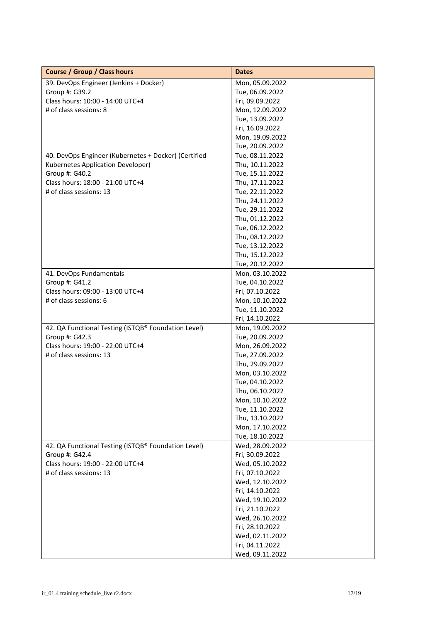| <b>Course / Group / Class hours</b>                                           | <b>Dates</b>                                                                                                                                                                               |
|-------------------------------------------------------------------------------|--------------------------------------------------------------------------------------------------------------------------------------------------------------------------------------------|
| 39. DevOps Engineer (Jenkins + Docker)                                        | Mon, 05.09.2022                                                                                                                                                                            |
| Group #: G39.2                                                                | Tue, 06.09.2022                                                                                                                                                                            |
| Class hours: 10:00 - 14:00 UTC+4                                              | Fri, 09.09.2022                                                                                                                                                                            |
| # of class sessions: 8                                                        | Mon, 12.09.2022                                                                                                                                                                            |
|                                                                               | Tue, 13.09.2022                                                                                                                                                                            |
|                                                                               | Fri, 16.09.2022                                                                                                                                                                            |
|                                                                               | Mon, 19.09.2022                                                                                                                                                                            |
|                                                                               | Tue, 20.09.2022                                                                                                                                                                            |
| 40. DevOps Engineer (Kubernetes + Docker) (Certified                          | Tue, 08.11.2022                                                                                                                                                                            |
| Kubernetes Application Developer)                                             | Thu, 10.11.2022                                                                                                                                                                            |
| Group #: G40.2                                                                | Tue, 15.11.2022                                                                                                                                                                            |
| Class hours: 18:00 - 21:00 UTC+4                                              | Thu, 17.11.2022                                                                                                                                                                            |
| # of class sessions: 13                                                       | Tue, 22.11.2022                                                                                                                                                                            |
|                                                                               | Thu, 24.11.2022                                                                                                                                                                            |
|                                                                               | Tue, 29.11.2022                                                                                                                                                                            |
|                                                                               | Thu, 01.12.2022                                                                                                                                                                            |
|                                                                               | Tue, 06.12.2022                                                                                                                                                                            |
|                                                                               | Thu, 08.12.2022                                                                                                                                                                            |
|                                                                               | Tue, 13.12.2022                                                                                                                                                                            |
|                                                                               | Thu, 15.12.2022                                                                                                                                                                            |
|                                                                               | Tue, 20.12.2022                                                                                                                                                                            |
| 41. DevOps Fundamentals                                                       | Mon, 03.10.2022                                                                                                                                                                            |
| Group #: G41.2                                                                | Tue, 04.10.2022                                                                                                                                                                            |
| Class hours: 09:00 - 13:00 UTC+4                                              | Fri, 07.10.2022                                                                                                                                                                            |
| # of class sessions: 6                                                        | Mon, 10.10.2022                                                                                                                                                                            |
|                                                                               | Tue, 11.10.2022                                                                                                                                                                            |
|                                                                               | Fri, 14.10.2022                                                                                                                                                                            |
| 42. QA Functional Testing (ISTQB® Foundation Level)                           | Mon, 19.09.2022                                                                                                                                                                            |
| Group #: G42.3                                                                | Tue, 20.09.2022                                                                                                                                                                            |
| Class hours: 19:00 - 22:00 UTC+4                                              | Mon, 26.09.2022                                                                                                                                                                            |
| # of class sessions: 13                                                       | Tue, 27.09.2022                                                                                                                                                                            |
|                                                                               | Thu, 29.09.2022                                                                                                                                                                            |
|                                                                               | Mon, 03.10.2022                                                                                                                                                                            |
|                                                                               | Tue, 04.10.2022                                                                                                                                                                            |
|                                                                               | Thu, 06.10.2022                                                                                                                                                                            |
|                                                                               | Mon, 10.10.2022                                                                                                                                                                            |
|                                                                               | Tue, 11.10.2022                                                                                                                                                                            |
|                                                                               | Thu, 13.10.2022                                                                                                                                                                            |
|                                                                               | Mon, 17.10.2022                                                                                                                                                                            |
|                                                                               | Tue, 18.10.2022                                                                                                                                                                            |
| 42. QA Functional Testing (ISTQB® Foundation Level)                           | Wed, 28.09.2022                                                                                                                                                                            |
|                                                                               |                                                                                                                                                                                            |
|                                                                               |                                                                                                                                                                                            |
|                                                                               |                                                                                                                                                                                            |
|                                                                               |                                                                                                                                                                                            |
|                                                                               |                                                                                                                                                                                            |
|                                                                               |                                                                                                                                                                                            |
|                                                                               |                                                                                                                                                                                            |
|                                                                               |                                                                                                                                                                                            |
|                                                                               |                                                                                                                                                                                            |
|                                                                               |                                                                                                                                                                                            |
|                                                                               | Fri, 04.11.2022                                                                                                                                                                            |
|                                                                               | Wed, 09.11.2022                                                                                                                                                                            |
| Group #: G42.4<br>Class hours: 19:00 - 22:00 UTC+4<br># of class sessions: 13 | Fri, 30.09.2022<br>Wed, 05.10.2022<br>Fri, 07.10.2022<br>Wed, 12.10.2022<br>Fri, 14.10.2022<br>Wed, 19.10.2022<br>Fri, 21.10.2022<br>Wed, 26.10.2022<br>Fri, 28.10.2022<br>Wed, 02.11.2022 |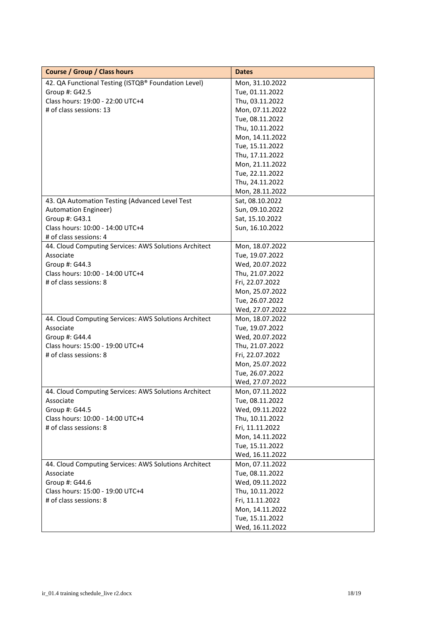| <b>Course / Group / Class hours</b>                   | <b>Dates</b>    |
|-------------------------------------------------------|-----------------|
| 42. QA Functional Testing (ISTQB® Foundation Level)   | Mon, 31.10.2022 |
| Group #: G42.5                                        | Tue, 01.11.2022 |
| Class hours: 19:00 - 22:00 UTC+4                      | Thu, 03.11.2022 |
| # of class sessions: 13                               | Mon, 07.11.2022 |
|                                                       | Tue, 08.11.2022 |
|                                                       | Thu, 10.11.2022 |
|                                                       | Mon, 14.11.2022 |
|                                                       | Tue, 15.11.2022 |
|                                                       | Thu, 17.11.2022 |
|                                                       | Mon, 21.11.2022 |
|                                                       | Tue, 22.11.2022 |
|                                                       | Thu, 24.11.2022 |
|                                                       | Mon, 28.11.2022 |
| 43. QA Automation Testing (Advanced Level Test        | Sat, 08.10.2022 |
| <b>Automation Engineer)</b>                           | Sun, 09.10.2022 |
| Group #: G43.1                                        | Sat, 15.10.2022 |
| Class hours: 10:00 - 14:00 UTC+4                      | Sun, 16.10.2022 |
| # of class sessions: 4                                |                 |
| 44. Cloud Computing Services: AWS Solutions Architect | Mon, 18.07.2022 |
| Associate                                             | Tue, 19.07.2022 |
| Group #: G44.3                                        | Wed, 20.07.2022 |
| Class hours: 10:00 - 14:00 UTC+4                      | Thu, 21.07.2022 |
| # of class sessions: 8                                | Fri, 22.07.2022 |
|                                                       | Mon, 25.07.2022 |
|                                                       | Tue, 26.07.2022 |
|                                                       | Wed, 27.07.2022 |
| 44. Cloud Computing Services: AWS Solutions Architect | Mon, 18.07.2022 |
| Associate                                             | Tue, 19.07.2022 |
| Group #: G44.4                                        | Wed, 20.07.2022 |
| Class hours: 15:00 - 19:00 UTC+4                      | Thu, 21.07.2022 |
| # of class sessions: 8                                | Fri, 22.07.2022 |
|                                                       | Mon, 25.07.2022 |
|                                                       | Tue, 26.07.2022 |
|                                                       | Wed, 27.07.2022 |
| 44. Cloud Computing Services: AWS Solutions Architect | Mon, 07.11.2022 |
| Associate                                             | Tue, 08.11.2022 |
| Group #: G44.5                                        | Wed, 09.11.2022 |
| Class hours: 10:00 - 14:00 UTC+4                      | Thu, 10.11.2022 |
| # of class sessions: 8                                | Fri, 11.11.2022 |
|                                                       | Mon, 14.11.2022 |
|                                                       | Tue, 15.11.2022 |
|                                                       | Wed, 16.11.2022 |
| 44. Cloud Computing Services: AWS Solutions Architect | Mon, 07.11.2022 |
| Associate                                             | Tue, 08.11.2022 |
| Group #: G44.6                                        | Wed, 09.11.2022 |
| Class hours: 15:00 - 19:00 UTC+4                      | Thu, 10.11.2022 |
| # of class sessions: 8                                | Fri, 11.11.2022 |
|                                                       | Mon, 14.11.2022 |
|                                                       | Tue, 15.11.2022 |
|                                                       | Wed, 16.11.2022 |